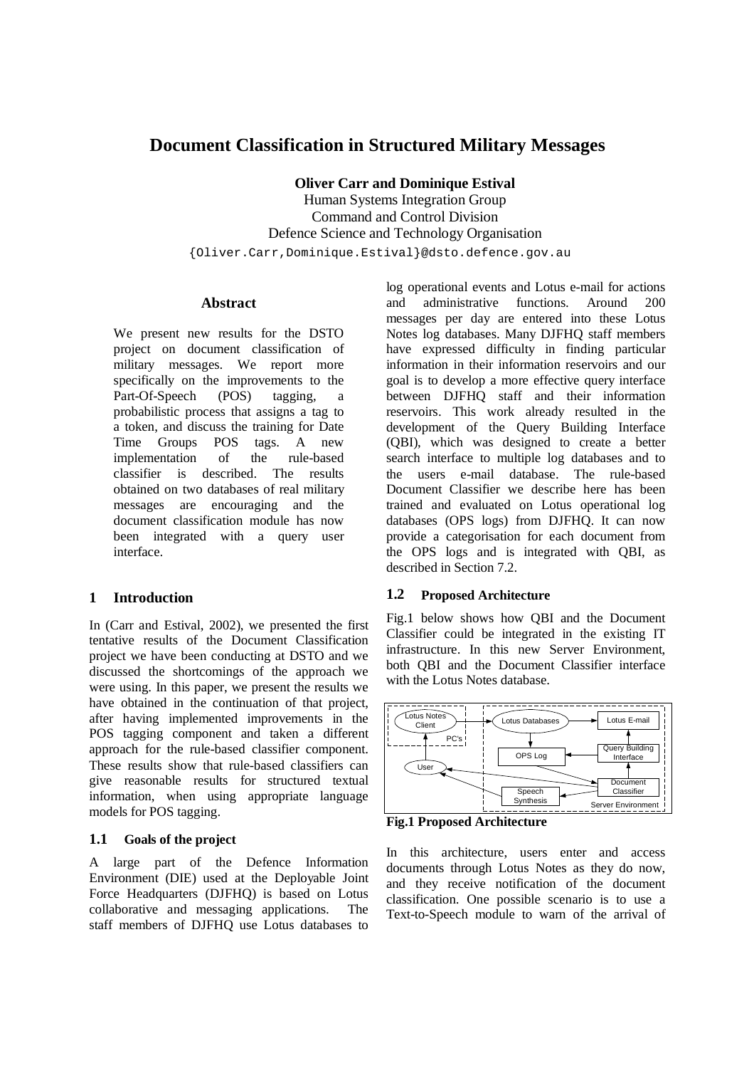# **Document Classification in Structured Military Messages**

**Oliver Carr and Dominique Estival** 

Human Systems Integration Group Command and Control Division Defence Science and Technology Organisation {Oliver.Carr,Dominique.Estival}@dsto.defence.gov.au

## **Abstract**

We present new results for the DSTO project on document classification of military messages. We report more specifically on the improvements to the Part-Of-Speech (POS) tagging, a probabilistic process that assigns a tag to a token, and discuss the training for Date<br>Time Groups POS tags. A new Time Groups POS tags. A new implementation of the rule-based classifier is described. The results obtained on two databases of real military messages are encouraging and the document classification module has now been integrated with a query user interface.

## **1 Introduction**

In (Carr and Estival, 2002), we presented the first tentative results of the Document Classification project we have been conducting at DSTO and we discussed the shortcomings of the approach we were using. In this paper, we present the results we have obtained in the continuation of that project, after having implemented improvements in the POS tagging component and taken a different approach for the rule-based classifier component. These results show that rule-based classifiers can give reasonable results for structured textual information, when using appropriate language models for POS tagging.

## **1.1 Goals of the project**

A large part of the Defence Information Environment (DIE) used at the Deployable Joint Force Headquarters (DJFHQ) is based on Lotus collaborative and messaging applications. The staff members of DJFHQ use Lotus databases to log operational events and Lotus e-mail for actions and administrative functions. Around 200 messages per day are entered into these Lotus Notes log databases. Many DJFHQ staff members have expressed difficulty in finding particular information in their information reservoirs and our goal is to develop a more effective query interface between DJFHQ staff and their information reservoirs. This work already resulted in the development of the Query Building Interface (QBI), which was designed to create a better search interface to multiple log databases and to the users e-mail database. The rule-based Document Classifier we describe here has been trained and evaluated on Lotus operational log databases (OPS logs) from DJFHQ. It can now provide a categorisation for each document from the OPS logs and is integrated with QBI, as described in Section 7.2.

## **1.2 Proposed Architecture**

Fig.1 below shows how QBI and the Document Classifier could be integrated in the existing IT infrastructure. In this new Server Environment, both QBI and the Document Classifier interface with the Lotus Notes database.



**Fig.1 Proposed Architecture**

In this architecture, users enter and access documents through Lotus Notes as they do now, and they receive notification of the document classification. One possible scenario is to use a Text-to-Speech module to warn of the arrival of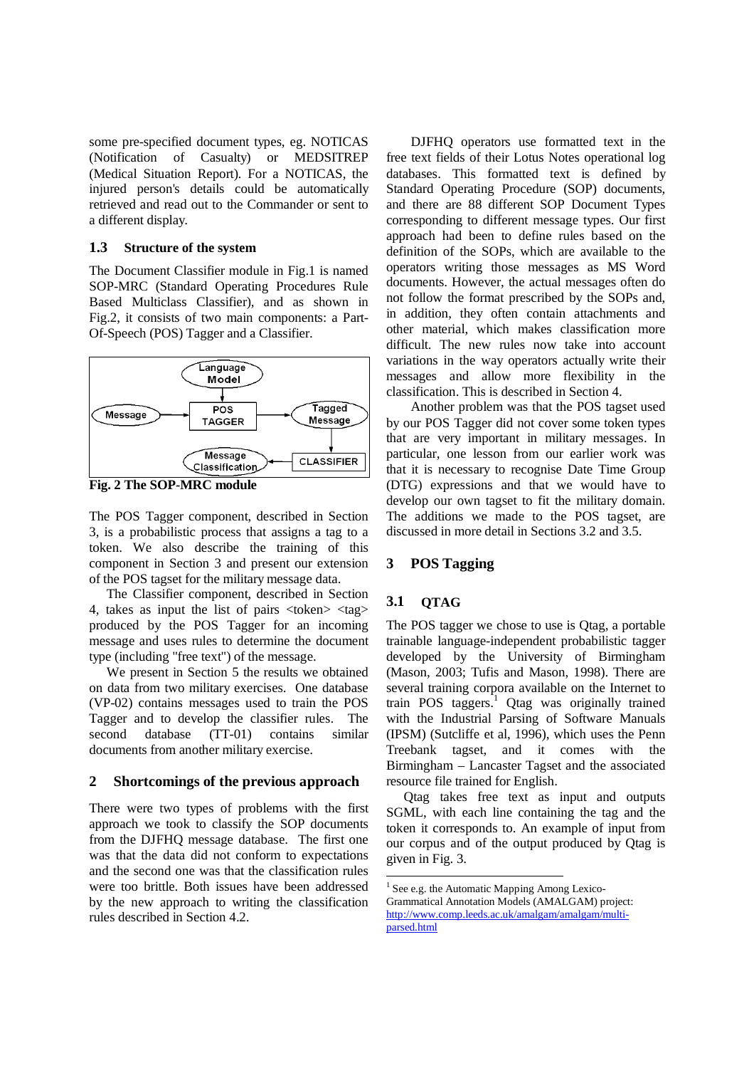some pre-specified document types, eg. NOTICAS (Notification of Casualty) or MEDSITREP (Medical Situation Report). For a NOTICAS, the injured person's details could be automatically retrieved and read out to the Commander or sent to a different display.

#### **1.3 Structure of the system**

The Document Classifier module in Fig.1 is named SOP-MRC (Standard Operating Procedures Rule Based Multiclass Classifier), and as shown in Fig.2, it consists of two main components: a Part-Of-Speech (POS) Tagger and a Classifier.



**Fig. 2 The SOP-MRC module**

The POS Tagger component, described in Section 3, is a probabilistic process that assigns a tag to a token. We also describe the training of this component in Section 3 and present our extension of the POS tagset for the military message data.

The Classifier component, described in Section 4, takes as input the list of pairs <token> <tag> produced by the POS Tagger for an incoming message and uses rules to determine the document type (including "free text") of the message.

We present in Section 5 the results we obtained on data from two military exercises. One database (VP-02) contains messages used to train the POS Tagger and to develop the classifier rules. The second database (TT-01) contains similar documents from another military exercise.

## **2 Shortcomings of the previous approach**

There were two types of problems with the first approach we took to classify the SOP documents from the DJFHQ message database. The first one was that the data did not conform to expectations and the second one was that the classification rules were too brittle. Both issues have been addressed by the new approach to writing the classification rules described in Section 4.2.

DJFHQ operators use formatted text in the free text fields of their Lotus Notes operational log databases. This formatted text is defined by Standard Operating Procedure (SOP) documents, and there are 88 different SOP Document Types corresponding to different message types. Our first approach had been to define rules based on the definition of the SOPs, which are available to the operators writing those messages as MS Word documents. However, the actual messages often do not follow the format prescribed by the SOPs and, in addition, they often contain attachments and other material, which makes classification more difficult. The new rules now take into account variations in the way operators actually write their messages and allow more flexibility in the classification. This is described in Section 4.

Another problem was that the POS tagset used by our POS Tagger did not cover some token types that are very important in military messages. In particular, one lesson from our earlier work was that it is necessary to recognise Date Time Group (DTG) expressions and that we would have to develop our own tagset to fit the military domain. The additions we made to the POS tagset, are discussed in more detail in Sections 3.2 and 3.5.

## **3 POS Tagging**

## **3.1 QTAG**

The POS tagger we chose to use is Qtag, a portable trainable language-independent probabilistic tagger developed by the University of Birmingham (Mason, 2003; Tufis and Mason, 1998). There are several training corpora available on the Internet to train POS taggers.<sup>1</sup> Qtag was originally trained with the Industrial Parsing of Software Manuals (IPSM) (Sutcliffe et al, 1996), which uses the Penn Treebank tagset, and it comes with the Birmingham – Lancaster Tagset and the associated resource file trained for English.

Qtag takes free text as input and outputs SGML, with each line containing the tag and the token it corresponds to. An example of input from our corpus and of the output produced by Qtag is given in Fig. 3.

 $\overline{a}$ <sup>1</sup> See e.g. the Automatic Mapping Among Lexico-Grammatical Annotation Models (AMALGAM) project:

http://www.comp.leeds.ac.uk/amalgam/amalgam/multiparsed.html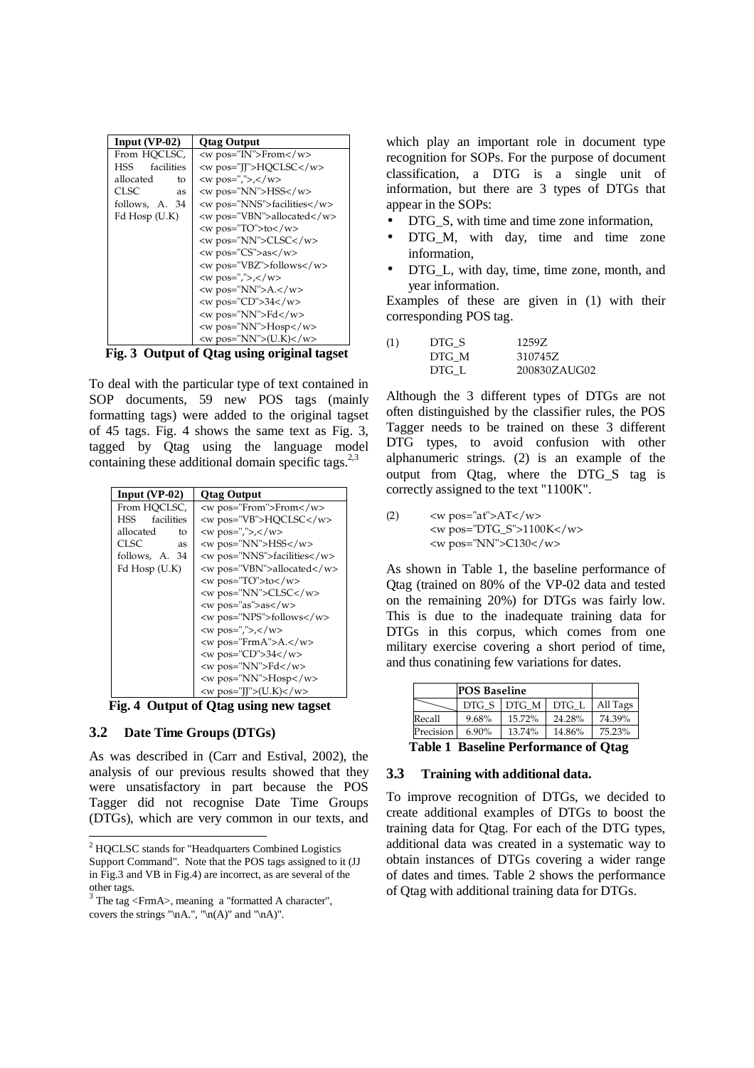| Input $(VP-02)$   | <b>Otag Output</b>                                                     |
|-------------------|------------------------------------------------------------------------|
| From HOCLSC,      | $\langle w \text{ pos} = "IN" \rangle$ From $\langle w \rangle$        |
| HSS facilities    | <w pos="JJ">HQCLSC</w>                                                 |
| allocated<br>to   | $\langle w \text{ pos} ='', \rangle \langle \langle w \rangle$         |
| <b>CLSC</b><br>as | $\langle w \text{ pos} = "NN" \rangle$ HSS $\langle w \rangle$         |
| follows, A. 34    | <w pos="NNS">facilities</w>                                            |
| Fd Hosp (U.K)     | <w pos="VBN">allocated</w>                                             |
|                   | $\langle w \text{ pos}$ ="TO">to                                       |
|                   | $\langle w \text{ pos} = "NN" > CLSC \langle /w \rangle$               |
|                   | $\langle w \text{ pos} = "CS" > as \langle /w \rangle$                 |
|                   | <w pos="VBZ">follows</w>                                               |
|                   | $\langle w \text{ pos} ='', \rangle \rangle \langle \langle w \rangle$ |
|                   | $\langle w \text{ pos} = "NN" > A. \langle /w \rangle$                 |
|                   | $\langle w \text{ pos} = \text{°CD} \text{''} > 34 \langle /w \rangle$ |
|                   | $\langle w \text{ pos} = "NN" > Fd \langle /w \rangle$                 |
|                   | $\langle w \text{ pos} = "NN" > Hosp \langle /w \rangle$               |
|                   | $\langle w \text{ pos} = "NN" \rangle (U.K) \langle /w \rangle$        |

 **Fig. 3 Output of Qtag using original tagset** 

To deal with the particular type of text contained in SOP documents, 59 new POS tags (mainly formatting tags) were added to the original tagset of 45 tags. Fig. 4 shows the same text as Fig. 3, tagged by Qtag using the language model containing these additional domain specific tags. $2,3$ 

| Input $(VP-02)$   | <b>Otag Output</b>                                                                  |
|-------------------|-------------------------------------------------------------------------------------|
| From HOCLSC,      | $\langle w \text{ pos} = \text{From} \text{ from} \rangle$ From $\langle w \rangle$ |
| facilities<br>HSS | <w pos="VB">HQCLSC</w>                                                              |
| allocated<br>to   | $\langle w \text{ pos} ='', \rangle \langle \langle w \rangle$                      |
| CLSC.<br>as       | $\langle w \text{ pos} = "NN" \rangle$ HSS $\langle w \rangle$                      |
| follows. A. 34    | <w pos="NNS">facilities</w>                                                         |
| Fd Hosp (U.K)     | <w pos="VBN">allocated</w>                                                          |
|                   | $\langle w \text{ pos} = "TO" > to \langle /w \rangle$                              |
|                   | $\langle w \text{ pos} = "NN" > CLSC \langle /w \rangle$                            |
|                   | $\langle w \text{ pos} =$ "as">as $\langle w \rangle$                               |
|                   | <w pos="NPS">follows</w>                                                            |
|                   | $\langle w \text{ pos} ='', \rangle \langle \langle w \rangle$                      |
|                   | $\langle w \text{ pos} = \text{TrmA} \rangle A. \langle w \rangle$                  |
|                   | $\langle w \text{ pos} = \text{°CD} \text{''} > 34 \langle w \rangle$               |
|                   | $\langle w \text{ pos} = "NN" > Fd \langle /w \rangle$                              |
|                   | $\langle w \text{ pos} = "NN" > Hosp \langle /w \rangle$                            |
|                   | $\langle w \text{ pos} = "W" \rangle (U.K) \langle /w \rangle$                      |

 **Fig. 4 Output of Qtag using new tagset** 

## **3.2 Date Time Groups (DTGs)**

j

As was described in (Carr and Estival, 2002), the analysis of our previous results showed that they were unsatisfactory in part because the POS Tagger did not recognise Date Time Groups (DTGs), which are very common in our texts, and

which play an important role in document type recognition for SOPs. For the purpose of document classification, a DTG is a single unit of information, but there are 3 types of DTGs that appear in the SOPs:

- DTG S, with time and time zone information,
- DTG<sub>M</sub>, with day, time and time zone information,
- DTG L, with day, time, time zone, month, and year information.

Examples of these are given in (1) with their corresponding POS tag.

| (1) | DTG S | 1259Z        |
|-----|-------|--------------|
|     | DTG M | 310745Z      |
|     | DTG L | 200830ZAUG02 |

Although the 3 different types of DTGs are not often distinguished by the classifier rules, the POS Tagger needs to be trained on these 3 different DTG types, to avoid confusion with other alphanumeric strings. (2) is an example of the output from Qtag, where the DTG\_S tag is correctly assigned to the text "1100K".

(2)  $\langle w \text{ pos} = \text{at} \text{val} \rangle A \text{d} \langle w \rangle$  $\langle w \rangle$  pos="DTG\_S">1100K</w>  $\langle w \rangle$  pos="NN">C130 $\langle w \rangle$ 

As shown in Table 1, the baseline performance of Qtag (trained on 80% of the VP-02 data and tested on the remaining 20%) for DTGs was fairly low. This is due to the inadequate training data for DTGs in this corpus, which comes from one military exercise covering a short period of time, and thus conatining few variations for dates.

|           | <b>POS Baseline</b> |                   |        |          |
|-----------|---------------------|-------------------|--------|----------|
|           |                     | DTG S DTG M DTG L |        | All Tags |
| Recall    | 9.68%               | 15.72%            | 24.28% | 74.39%   |
| Precision | $6.90\%$            | 13.74%            | 14.86% | 75.23%   |

 **Table 1 Baseline Performance of Qtag** 

#### **3.3 Training with additional data.**

To improve recognition of DTGs, we decided to create additional examples of DTGs to boost the training data for Qtag. For each of the DTG types, additional data was created in a systematic way to obtain instances of DTGs covering a wider range of dates and times. Table 2 shows the performance of Qtag with additional training data for DTGs.

<sup>&</sup>lt;sup>2</sup> HQCLSC stands for "Headquarters Combined Logistics Support Command". Note that the POS tags assigned to it (JJ in Fig.3 and VB in Fig.4) are incorrect, as are several of the other tags.

 $3$  The tag <FrmA>, meaning a "formatted A character", covers the strings " $nA$ .", " $n(A)$ " and " $nA$ ".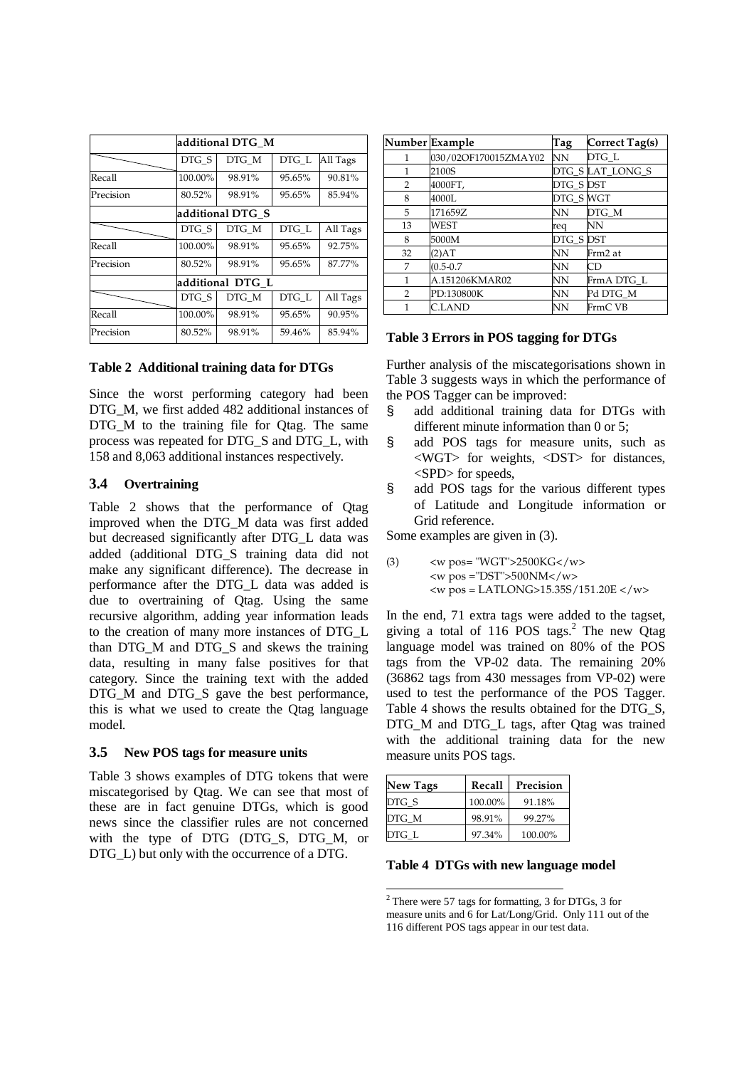| additional DTG M |                  |                  |        |          |  |  |  |  |
|------------------|------------------|------------------|--------|----------|--|--|--|--|
|                  | DTG S            | DTG M            | DTG_L  | All Tags |  |  |  |  |
| Recall           | 100.00%          | 98.91%           | 95.65% | 90.81%   |  |  |  |  |
| Precision        | 80.52%           | 98.91%           | 95.65% | 85.94%   |  |  |  |  |
|                  | additional DTG S |                  |        |          |  |  |  |  |
|                  | DTG_S            | DTG_M            | DTG L  | All Tags |  |  |  |  |
| Recall           | 100.00%          | 98.91%           | 95.65% | 92.75%   |  |  |  |  |
| Precision        | 80.52%           |                  | 95.65% | 87.77%   |  |  |  |  |
|                  |                  | additional DTG L |        |          |  |  |  |  |
|                  | DTG_S            | DTG M            | DTG L  | All Tags |  |  |  |  |
| Recall           | 100.00%          | 98.91%           | 95.65% | 90.95%   |  |  |  |  |
| Precision        | 80.52%           | 98.91%           | 59.46% | 85.94%   |  |  |  |  |

#### **Table 2 Additional training data for DTGs**

Since the worst performing category had been DTG\_M, we first added 482 additional instances of DTG<sub>M</sub> to the training file for Qtag. The same process was repeated for DTG\_S and DTG\_L, with 158 and 8,063 additional instances respectively.

#### **3.4 Overtraining**

Table 2 shows that the performance of Qtag improved when the DTG\_M data was first added but decreased significantly after DTG\_L data was added (additional DTG\_S training data did not make any significant difference). The decrease in performance after the DTG\_L data was added is due to overtraining of Qtag. Using the same recursive algorithm, adding year information leads to the creation of many more instances of DTG\_L than DTG\_M and DTG\_S and skews the training data, resulting in many false positives for that category. Since the training text with the added DTG<sub>M</sub> and DTG<sub>S</sub> gave the best performance, this is what we used to create the Qtag language model.

#### **3.5 New POS tags for measure units**

Table 3 shows examples of DTG tokens that were miscategorised by Qtag. We can see that most of these are in fact genuine DTGs, which is good news since the classifier rules are not concerned with the type of DTG (DTG\_S, DTG\_M, or DTG L) but only with the occurrence of a DTG.

|    | Number Example       | Tag       | <b>Correct Tag(s)</b> |
|----|----------------------|-----------|-----------------------|
|    | 030/02OF170015ZMAY02 | NN        | DTG L                 |
| 1  | 2100S                |           | DTG SLAT LONG S       |
| 2  | 4000FT,              | DTG S DST |                       |
| 8  | 4000L                | DTG_S WGT |                       |
| 5  | 171659Z              | NN        | DTG M                 |
| 13 | WEST                 | reg       | NN                    |
| 8  | 5000M                | DTG S DST |                       |
| 32 | (2)AT                | NN        | Frm2 at               |
| 7  | $(0.5 - 0.7)$        | NN        | СD                    |
| 1  | A.151206KMAR02       | NN        | FrmA DTG L            |
| 2  | PD:130800K           | NN        | Pd DTG M              |
|    | C.LAND               | NN        | FrmC VB               |

#### **Table 3 Errors in POS tagging for DTGs**

Further analysis of the miscategorisations shown in Table 3 suggests ways in which the performance of the POS Tagger can be improved:

- § add additional training data for DTGs with different minute information than 0 or 5;
- § add POS tags for measure units, such as <WGT> for weights, <DST> for distances, <SPD> for speeds,
- § add POS tags for the various different types of Latitude and Longitude information or Grid reference.

Some examples are given in (3).

(3)  $\langle$  <w pos= "WGT">2500KG $\langle$ /w>  $\langle w \text{ pos} = "DST" > 500$ NM $\langle w \rangle$  $\langle w \rangle$  pos = LATLONG>15.35S/151.20E  $\langle w \rangle$ 

In the end, 71 extra tags were added to the tagset, giving a total of 116 POS tags.<sup>2</sup> The new  $Qtag$ language model was trained on 80% of the POS tags from the VP-02 data. The remaining 20% (36862 tags from 430 messages from VP-02) were used to test the performance of the POS Tagger. Table 4 shows the results obtained for the DTG\_S, DTG\_M and DTG\_L tags, after Qtag was trained with the additional training data for the new measure units POS tags.

| New Tags | Recall  | Precision |  |
|----------|---------|-----------|--|
| DTG S    | 100.00% | 91.18%    |  |
| DTG M    | 98.91%  | 99.27%    |  |
| DTG L    | 97.34%  | 100.00%   |  |

 $\overline{a}$ 

#### **Table 4 DTGs with new language model**

 $2^2$  There were 57 tags for formatting, 3 for DTGs, 3 for measure units and 6 for Lat/Long/Grid. Only 111 out of the 116 different POS tags appear in our test data.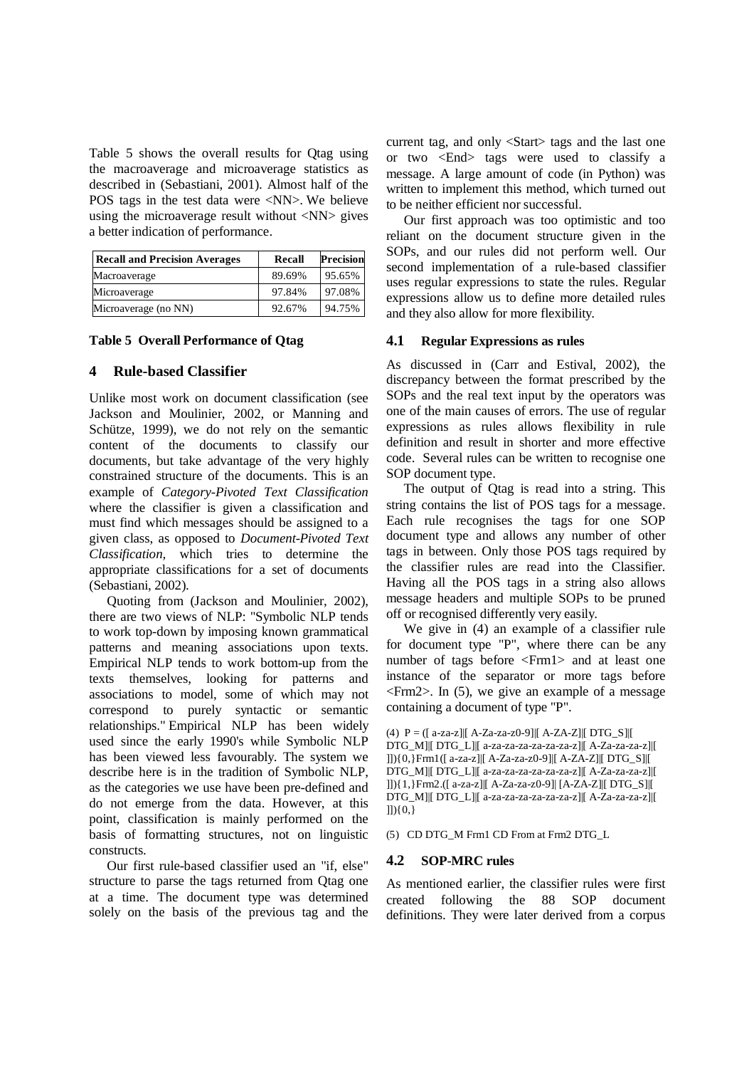Table 5 shows the overall results for Qtag using the macroaverage and microaverage statistics as described in (Sebastiani, 2001). Almost half of the POS tags in the test data were <NN>. We believe using the microaverage result without <NN> gives a better indication of performance.

| <b>Recall and Precision Averages</b> | Recall | <b>Precision</b> |
|--------------------------------------|--------|------------------|
| Macroaverage                         | 89.69% | 95.65%           |
| Microaverage                         | 97.84% | 97.08%           |
| Microaverage (no NN)                 | 92.67% | 94.75%           |

#### **Table 5 Overall Performance of Qtag**

### **4 Rule-based Classifier**

Unlike most work on document classification (see Jackson and Moulinier, 2002, or Manning and Schütze, 1999), we do not rely on the semantic content of the documents to classify our documents, but take advantage of the very highly constrained structure of the documents. This is an example of *Category-Pivoted Text Classification* where the classifier is given a classification and must find which messages should be assigned to a given class, as opposed to *Document-Pivoted Text Classification,* which tries to determine the appropriate classifications for a set of documents (Sebastiani, 2002).

Quoting from (Jackson and Moulinier, 2002), there are two views of NLP: "Symbolic NLP tends to work top-down by imposing known grammatical patterns and meaning associations upon texts. Empirical NLP tends to work bottom-up from the texts themselves, looking for patterns and associations to model, some of which may not correspond to purely syntactic or semantic relationships." Empirical NLP has been widely used since the early 1990's while Symbolic NLP has been viewed less favourably. The system we describe here is in the tradition of Symbolic NLP, as the categories we use have been pre-defined and do not emerge from the data. However, at this point, classification is mainly performed on the basis of formatting structures, not on linguistic constructs.

Our first rule-based classifier used an "if, else" structure to parse the tags returned from Qtag one at a time. The document type was determined solely on the basis of the previous tag and the

current tag, and only <Start> tags and the last one or two <End> tags were used to classify a message. A large amount of code (in Python) was written to implement this method, which turned out to be neither efficient nor successful.

Our first approach was too optimistic and too reliant on the document structure given in the SOPs, and our rules did not perform well. Our second implementation of a rule-based classifier uses regular expressions to state the rules. Regular expressions allow us to define more detailed rules and they also allow for more flexibility.

#### **4.1 Regular Expressions as rules**

As discussed in (Carr and Estival, 2002), the discrepancy between the format prescribed by the SOPs and the real text input by the operators was one of the main causes of errors. The use of regular expressions as rules allows flexibility in rule definition and result in shorter and more effective code. Several rules can be written to recognise one SOP document type.

The output of Qtag is read into a string. This string contains the list of POS tags for a message. Each rule recognises the tags for one SOP document type and allows any number of other tags in between. Only those POS tags required by the classifier rules are read into the Classifier. Having all the POS tags in a string also allows message headers and multiple SOPs to be pruned off or recognised differently very easily.

We give in (4) an example of a classifier rule for document type "P", where there can be any number of tags before <Frm1> and at least one instance of the separator or more tags before  $\le$ Frm2>. In (5), we give an example of a message containing a document of type "P".

(4)  $P = ($ [ a-za-z]|[ A-Za-za-z0-9]|[ A-ZA-Z]|[ DTG\_S]|[ DTG\_M]|[ DTG\_L]|[ a-za-za-za-za-za-za-z]|[ A-Za-za-za-z]|[  $11$  $10$ ,  $1$  Frm1([ a-za-z]|[ A-Za-za-z0-9]|[ A-ZA-Z]|[ DTG\_S]|[ DTG\_M]|[ DTG\_L]|[ a-za-za-za-za-za-za-z]|[ A-Za-za-za-z]|[ ]]){1,}Frm2.([ a-za-z]|[ A-Za-za-z0-9]| [A-ZA-Z]|[ DTG\_S]|[ DTG\_M]|[ DTG\_L]|[ a-za-za-za-za-za-za-z]|[ A-Za-za-za-z]|[ ]]){0,}

(5) CD DTG\_M Frm1 CD From at Frm2 DTG\_L

#### **4.2 SOP-MRC rules**

As mentioned earlier, the classifier rules were first created following the 88 SOP document definitions. They were later derived from a corpus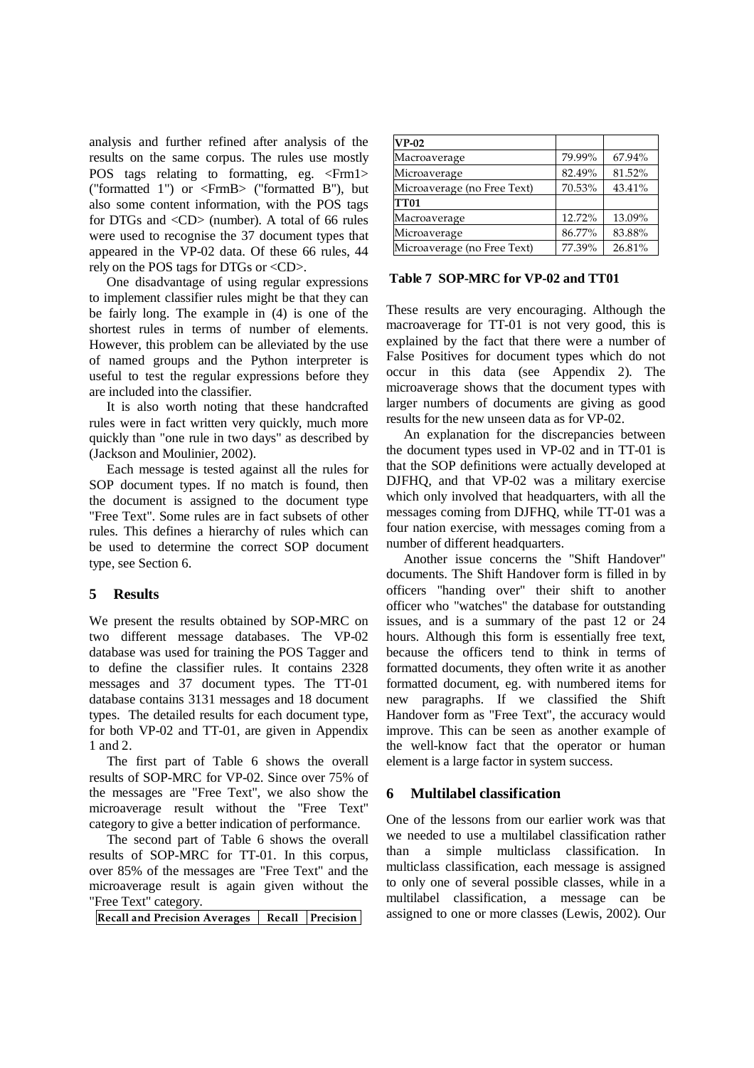analysis and further refined after analysis of the results on the same corpus. The rules use mostly POS tags relating to formatting, eg. <Fm1> ("formatted 1") or <FrmB> ("formatted B"), but also some content information, with the POS tags for DTGs and <CD> (number). A total of 66 rules were used to recognise the 37 document types that appeared in the VP-02 data. Of these 66 rules, 44 rely on the POS tags for DTGs or <CD>.

One disadvantage of using regular expressions to implement classifier rules might be that they can be fairly long. The example in (4) is one of the shortest rules in terms of number of elements. However, this problem can be alleviated by the use of named groups and the Python interpreter is useful to test the regular expressions before they are included into the classifier.

It is also worth noting that these handcrafted rules were in fact written very quickly, much more quickly than "one rule in two days" as described by (Jackson and Moulinier, 2002).

Each message is tested against all the rules for SOP document types. If no match is found, then the document is assigned to the document type "Free Text". Some rules are in fact subsets of other rules. This defines a hierarchy of rules which can be used to determine the correct SOP document type, see Section 6.

## **5 Results**

We present the results obtained by SOP-MRC on two different message databases. The VP-02 database was used for training the POS Tagger and to define the classifier rules. It contains 2328 messages and 37 document types. The TT-01 database contains 3131 messages and 18 document types. The detailed results for each document type, for both VP-02 and TT-01, are given in Appendix 1 and 2.

The first part of Table 6 shows the overall results of SOP-MRC for VP-02. Since over 75% of the messages are "Free Text", we also show the microaverage result without the "Free Text" category to give a better indication of performance.

The second part of Table 6 shows the overall results of SOP-MRC for TT-01. In this corpus, over 85% of the messages are "Free Text" and the microaverage result is again given without the "Free Text" category.

| Recall and Precision Averages   Recall   Precision |  |  |
|----------------------------------------------------|--|--|
|----------------------------------------------------|--|--|

| $VP-02$                     |        |        |
|-----------------------------|--------|--------|
| Macroaverage                | 79.99% | 67.94% |
| Microaverage                | 82.49% | 81.52% |
| Microaverage (no Free Text) | 70.53% | 43.41% |
| <b>TT01</b>                 |        |        |
| Macroaverage                | 12.72% | 13.09% |
| Microaverage                | 86.77% | 83.88% |
| Microaverage (no Free Text) | 77.39% | 26.81% |

## **Table 7 SOP-MRC for VP-02 and TT01**

These results are very encouraging. Although the macroaverage for TT-01 is not very good, this is explained by the fact that there were a number of False Positives for document types which do not occur in this data (see Appendix 2). The microaverage shows that the document types with larger numbers of documents are giving as good results for the new unseen data as for VP-02.

An explanation for the discrepancies between the document types used in VP-02 and in TT-01 is that the SOP definitions were actually developed at DJFHQ, and that VP-02 was a military exercise which only involved that headquarters, with all the messages coming from DJFHQ, while TT-01 was a four nation exercise, with messages coming from a number of different headquarters.

Another issue concerns the "Shift Handover" documents. The Shift Handover form is filled in by officers "handing over" their shift to another officer who "watches" the database for outstanding issues, and is a summary of the past 12 or 24 hours. Although this form is essentially free text, because the officers tend to think in terms of formatted documents, they often write it as another formatted document, eg. with numbered items for new paragraphs. If we classified the Shift Handover form as "Free Text", the accuracy would improve. This can be seen as another example of the well-know fact that the operator or human element is a large factor in system success.

## **6 Multilabel classification**

One of the lessons from our earlier work was that we needed to use a multilabel classification rather than a simple multiclass classification. In multiclass classification, each message is assigned to only one of several possible classes, while in a multilabel classification, a message can be assigned to one or more classes (Lewis, 2002). Our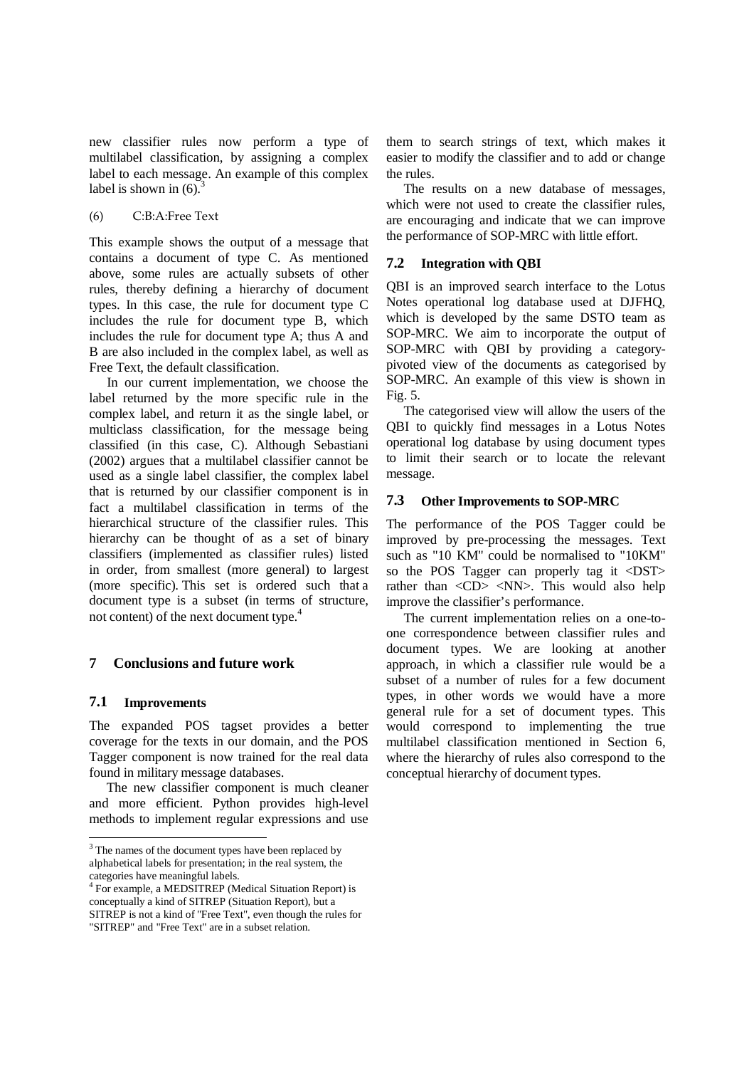new classifier rules now perform a type of multilabel classification, by assigning a complex label to each message. An example of this complex label is shown in  $(6)$ .<sup>3</sup>

#### (6) C:B:A:Free Text

This example shows the output of a message that contains a document of type C. As mentioned above, some rules are actually subsets of other rules, thereby defining a hierarchy of document types. In this case, the rule for document type C includes the rule for document type B, which includes the rule for document type A; thus A and B are also included in the complex label, as well as Free Text, the default classification.

In our current implementation, we choose the label returned by the more specific rule in the complex label, and return it as the single label, or multiclass classification, for the message being classified (in this case, C). Although Sebastiani (2002) argues that a multilabel classifier cannot be used as a single label classifier, the complex label that is returned by our classifier component is in fact a multilabel classification in terms of the hierarchical structure of the classifier rules. This hierarchy can be thought of as a set of binary classifiers (implemented as classifier rules) listed in order, from smallest (more general) to largest (more specific). This set is ordered such that a document type is a subset (in terms of structure, not content) of the next document type.<sup>4</sup>

## **7 Conclusions and future work**

#### **7.1 Improvements**

j

The expanded POS tagset provides a better coverage for the texts in our domain, and the POS Tagger component is now trained for the real data found in military message databases.

The new classifier component is much cleaner and more efficient. Python provides high-level methods to implement regular expressions and use

them to search strings of text, which makes it easier to modify the classifier and to add or change the rules.

The results on a new database of messages, which were not used to create the classifier rules, are encouraging and indicate that we can improve the performance of SOP-MRC with little effort.

## **7.2 Integration with QBI**

QBI is an improved search interface to the Lotus Notes operational log database used at DJFHQ, which is developed by the same DSTO team as SOP-MRC. We aim to incorporate the output of SOP-MRC with QBI by providing a categorypivoted view of the documents as categorised by SOP-MRC. An example of this view is shown in Fig. 5.

The categorised view will allow the users of the QBI to quickly find messages in a Lotus Notes operational log database by using document types to limit their search or to locate the relevant message.

## **7.3 Other Improvements to SOP-MRC**

The performance of the POS Tagger could be improved by pre-processing the messages. Text such as "10 KM" could be normalised to "10KM" so the POS Tagger can properly tag it <DST> rather than <CD> <NN>. This would also help improve the classifier's performance.

The current implementation relies on a one-toone correspondence between classifier rules and document types. We are looking at another approach, in which a classifier rule would be a subset of a number of rules for a few document types, in other words we would have a more general rule for a set of document types. This would correspond to implementing the true multilabel classification mentioned in Section 6, where the hierarchy of rules also correspond to the conceptual hierarchy of document types.

<sup>&</sup>lt;sup>3</sup> The names of the document types have been replaced by alphabetical labels for presentation; in the real system, the

categories have meaningful labels. 4 For example, a MEDSITREP (Medical Situation Report) is conceptually a kind of SITREP (Situation Report), but a SITREP is not a kind of "Free Text", even though the rules for "SITREP" and "Free Text" are in a subset relation.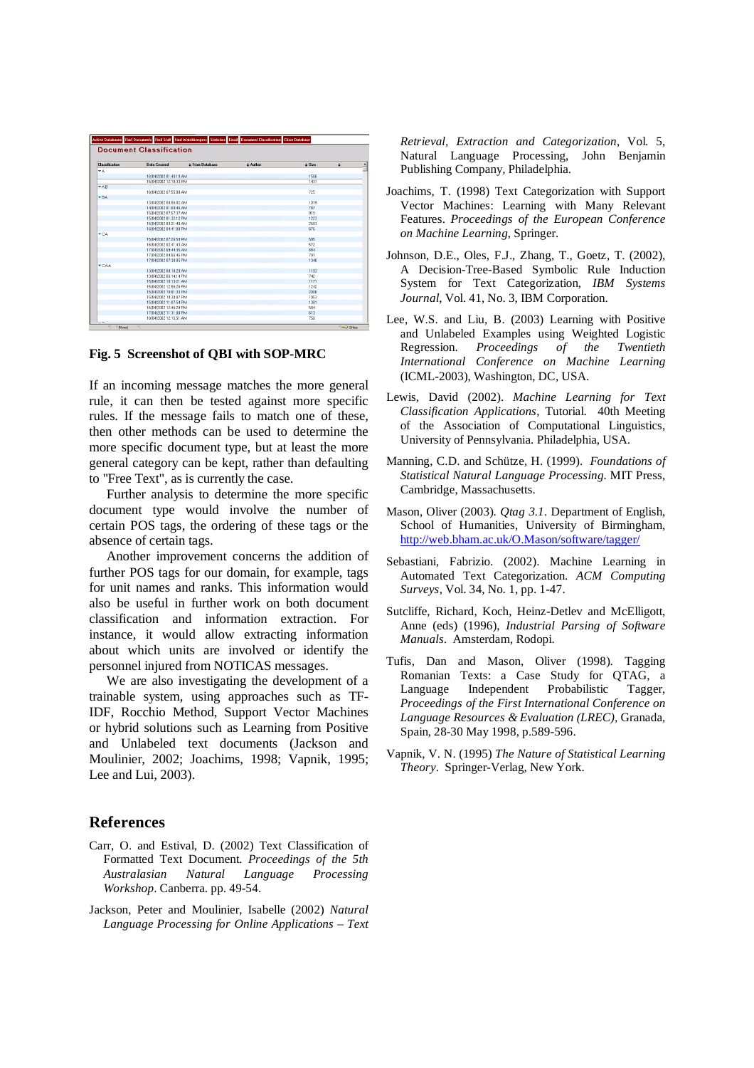|                          | <b>Document Classification</b> |                        |                     |        |           |
|--------------------------|--------------------------------|------------------------|---------------------|--------|-----------|
| Classification           | <b>Date Created</b>            | <b>¢ From Database</b> | <sup>e</sup> Author | e Size | $\bullet$ |
| $\blacktriangleright$ A  |                                |                        |                     |        |           |
|                          | 16/04/2002 01:40:10 AM         |                        |                     | 1566   |           |
|                          | 16/04/2002 12:18:33 PM         |                        |                     | 1431   |           |
| $\blacktriangleright$ AB |                                |                        |                     |        |           |
|                          | 16/04/2002 07:55:08 AM         |                        |                     | 725    |           |
| <b>VBA</b>               |                                |                        |                     |        |           |
|                          | 13/04/2002 08:06:02 AM         |                        |                     | 1019   |           |
|                          | 14/04/2002 01:00:46 AM         |                        |                     | 787    |           |
|                          | 15/04/2002 07:57:37 AM         |                        |                     | 919    |           |
|                          | 15/04/2002 01:32:12 PM         |                        |                     | 1223   |           |
|                          | 16/04/2002 03:21:40 AM         |                        |                     | 2683   |           |
|                          | 16/04/2002 04:41:08 PM         |                        |                     | 676    |           |
| <b>YCA</b>               |                                |                        |                     |        |           |
|                          | 15/04/2002 07:26:59 PM         |                        |                     | 595    |           |
|                          | 16/04/2002 02:41:43 AM         |                        |                     | 572    |           |
|                          | 17/04/2002 09:44:35 AM         |                        |                     | 884    |           |
|                          | 17/04/2002 04:06:46 PM         |                        |                     | 791    |           |
|                          | 17/04/2002 07:38:05 PM         |                        |                     | 1346   |           |
| <b>YCAA</b>              |                                |                        |                     |        |           |
|                          | 13/04/2002 08:18:29 AM         |                        |                     | 1193   |           |
|                          | 13/04/2002 06:14:14 PM         |                        |                     | 742    |           |
|                          | 15/04/2002 10:13:21 AM         |                        |                     | 1171   |           |
|                          | 15/04/2002 12:56:26 PM         |                        |                     | 1242   |           |
|                          | 15/04/2002 10:01:33 PM         |                        |                     | 2006   |           |
|                          | 15/04/2002 10:30:07 PM         |                        |                     | 1053   |           |
|                          | 15/04/2002 11:07:54 PM         |                        |                     | 1381   |           |
|                          | 16/04/2002 12:46:29 PM         |                        |                     | 584    |           |
|                          | 17/04/2002 11:31:08 PM         |                        |                     | 613    |           |
|                          | 18/04/2002 12:15:51 AM         |                        |                     | 750    |           |

#### **Fig. 5 Screenshot of QBI with SOP-MRC**

If an incoming message matches the more general rule, it can then be tested against more specific rules. If the message fails to match one of these, then other methods can be used to determine the more specific document type, but at least the more general category can be kept, rather than defaulting to "Free Text", as is currently the case.

Further analysis to determine the more specific document type would involve the number of certain POS tags, the ordering of these tags or the absence of certain tags.

Another improvement concerns the addition of further POS tags for our domain, for example, tags for unit names and ranks. This information would also be useful in further work on both document classification and information extraction. For instance, it would allow extracting information about which units are involved or identify the personnel injured from NOTICAS messages.

We are also investigating the development of a trainable system, using approaches such as TF-IDF, Rocchio Method, Support Vector Machines or hybrid solutions such as Learning from Positive and Unlabeled text documents (Jackson and Moulinier, 2002; Joachims, 1998; Vapnik, 1995; Lee and Lui, 2003).

#### **References**

- Carr, O. and Estival, D. (2002) Text Classification of Formatted Text Document. *Proceedings of the 5th Australasian Natural Language Processing Workshop*. Canberra. pp. 49-54.
- Jackson, Peter and Moulinier, Isabelle (2002) *Natural Language Processing for Online Applications – Text*

*Retrieval, Extraction and Categorization*, Vol. 5, Natural Language Processing, John Benjamin Publishing Company, Philadelphia.

- Joachims, T. (1998) Text Categorization with Support Vector Machines: Learning with Many Relevant Features. *Proceedings of the European Conference on Machine Learning*, Springer.
- Johnson, D.E., Oles, F.J., Zhang, T., Goetz, T. (2002), A Decision-Tree-Based Symbolic Rule Induction System for Text Categorization, *IBM Systems Journal*, Vol. 41, No. 3, IBM Corporation.
- Lee, W.S. and Liu, B. (2003) Learning with Positive and Unlabeled Examples using Weighted Logistic Regression. *Proceedings of the Twentieth International Conference on Machine Learning*  (ICML-2003), Washington, DC, USA.
- Lewis, David (2002). *Machine Learning for Text Classification Applications*, Tutorial. 40th Meeting of the Association of Computational Linguistics, University of Pennsylvania. Philadelphia, USA.
- Manning, C.D. and Schütze, H. (1999). *Foundations of Statistical Natural Language Processing*. MIT Press, Cambridge, Massachusetts.
- Mason, Oliver (2003). *Qtag 3.1*. Department of English, School of Humanities, University of Birmingham, http://web.bham.ac.uk/O.Mason/software/tagger/
- Sebastiani, Fabrizio. (2002). Machine Learning in Automated Text Categorization. *ACM Computing Surveys*, Vol. 34, No. 1, pp. 1-47.
- Sutcliffe, Richard, Koch, Heinz-Detlev and McElligott, Anne (eds) (1996), *Industrial Parsing of Software Manuals*. Amsterdam, Rodopi.
- Tufis, Dan and Mason, Oliver (1998). Tagging Romanian Texts: a Case Study for QTAG, a Language Independent Probabilistic Tagger, *Proceedings of the First International Conference on Language Resources & Evaluation (LREC),* Granada, Spain, 28-30 May 1998, p.589-596.
- Vapnik, V. N. (1995) *The Nature of Statistical Learning Theory*. Springer-Verlag, New York.